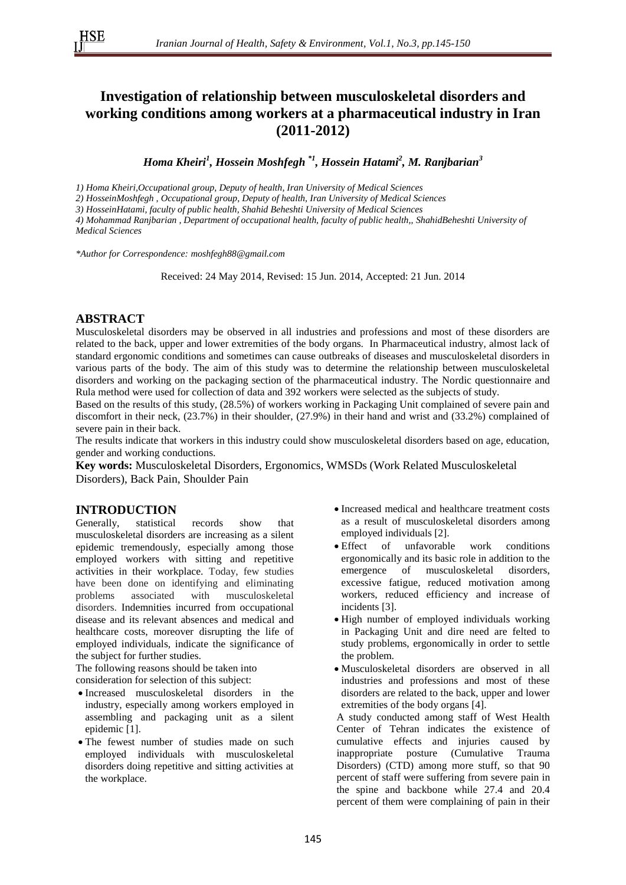# **Investigation of relationship between musculoskeletal disorders and working conditions among workers at a pharmaceutical industry in Iran (2011-2012)**

*Homa Kheiri<sup>1</sup> , Hossein Moshfegh \*1, Hossein Hatami<sup>2</sup> , M. Ranjbarian<sup>3</sup>*

*1) Homa Kheiri,Occupational group, Deputy of health, Iran University of Medical Sciences*

*2) HosseinMoshfegh , Occupational group, Deputy of health, Iran University of Medical Sciences*

*3) HosseinHatami, faculty of public health, Shahid Beheshti University of Medical Sciences*

*4) Mohammad Ranjbarian , Department of occupational health, faculty of public health,, ShahidBeheshti University of Medical Sciences*

*\*Author for Correspondence: moshfegh88@gmail.com*

Received: 24 May 2014, Revised: 15 Jun. 2014, Accepted: 21 Jun. 2014

### **ABSTRACT**

Musculoskeletal disorders may be observed in all industries and professions and most of these disorders are related to the back, upper and lower extremities of the body organs. In Pharmaceutical industry, almost lack of standard ergonomic conditions and sometimes can cause outbreaks of diseases and musculoskeletal disorders in various parts of the body. The aim of this study was to determine the relationship between musculoskeletal disorders and working on the packaging section of the pharmaceutical industry. The Nordic questionnaire and Rula method were used for collection of data and 392 workers were selected as the subjects of study.

Based on the results of this study, (28.5%) of workers working in Packaging Unit complained of severe pain and discomfort in their neck, (23.7%) in their shoulder, (27.9%) in their hand and wrist and (33.2%) complained of severe pain in their back.

The results indicate that workers in this industry could show musculoskeletal disorders based on age, education, gender and working conductions.

**Key words:** Musculoskeletal Disorders, Ergonomics, WMSDs (Work Related Musculoskeletal Disorders), Back Pain, Shoulder Pain

# **INTRODUCTION**

Generally, statistical records show that musculoskeletal disorders are increasing as a silent epidemic tremendously, especially among those employed workers with sitting and repetitive activities in their workplace. Today, few studies have been done on identifying and eliminating problems associated with musculoskeletal disorders. Indemnities incurred from occupational disease and its relevant absences and medical and healthcare costs, moreover disrupting the life of employed individuals, indicate the significance of the subject for further studies.

The following reasons should be taken into consideration for selection of this subject:

- Increased musculoskeletal disorders in the industry, especially among workers employed in assembling and packaging unit as a silent epidemic [1].
- The fewest number of studies made on such employed individuals with musculoskeletal disorders doing repetitive and sitting activities at the workplace.
- Increased medical and healthcare treatment costs as a result of musculoskeletal disorders among employed individuals [2].
- Effect of unfavorable work conditions ergonomically and its basic role in addition to the emergence of musculoskeletal disorders, excessive fatigue, reduced motivation among workers, reduced efficiency and increase of incidents [3].
- High number of employed individuals working in Packaging Unit and dire need are felted to study problems, ergonomically in order to settle the problem.
- Musculoskeletal disorders are observed in all industries and professions and most of these disorders are related to the back, upper and lower extremities of the body organs [4].

A study conducted among staff of West Health Center of Tehran indicates the existence of cumulative effects and injuries caused by inappropriate posture (Cumulative Trauma Disorders) (CTD) among more stuff, so that 90 percent of staff were suffering from severe pain in the spine and backbone while 27.4 and 20.4 percent of them were complaining of pain in their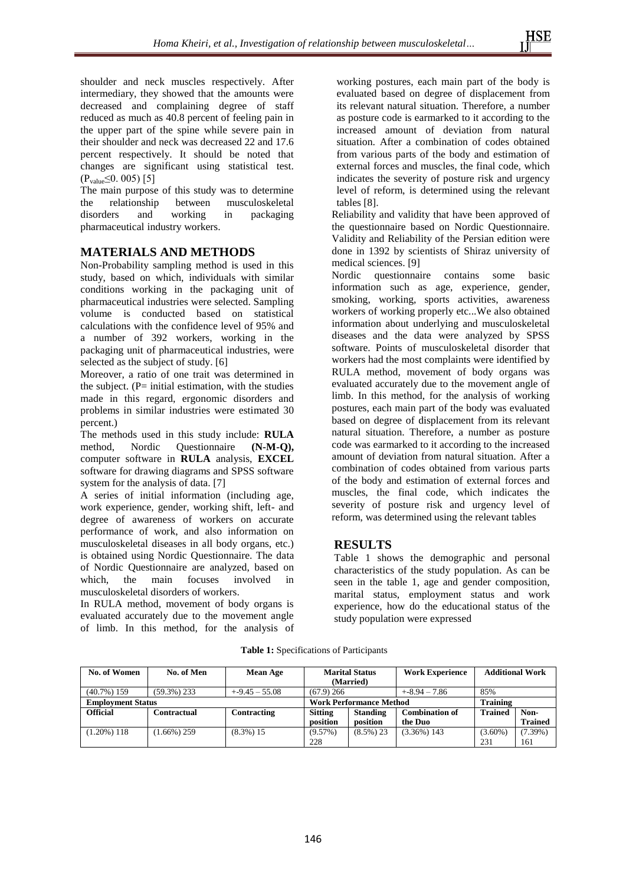shoulder and neck muscles respectively. After intermediary, they showed that the amounts were decreased and complaining degree of staff reduced as much as 40.8 percent of feeling pain in the upper part of the spine while severe pain in their shoulder and neck was decreased 22 and 17.6 percent respectively. It should be noted that changes are significant using statistical test.  $(P_{value} \leq 0.005)$  [5]

The main purpose of this study was to determine the relationship between musculoskeletal disorders and working in packaging pharmaceutical industry workers.

### **MATERIALS AND METHODS**

Non-Probability sampling method is used in this study, based on which, individuals with similar conditions working in the packaging unit of pharmaceutical industries were selected. Sampling volume is conducted based on statistical calculations with the confidence level of 95% and a number of 392 workers, working in the packaging unit of pharmaceutical industries, were selected as the subject of study. [6]

Moreover, a ratio of one trait was determined in the subject.  $(P= initial estimation, with the studies)$ made in this regard, ergonomic disorders and problems in similar industries were estimated 30 percent.)

The methods used in this study include: **RULA** method, Nordic Questionnaire **(N-M-Q),** computer software in **RULA** analysis, **EXCEL** software for drawing diagrams and SPSS software system for the analysis of data. [7]

A series of initial information (including age, work experience, gender, working shift, left- and degree of awareness of workers on accurate performance of work, and also information on musculoskeletal diseases in all body organs, etc.) is obtained using Nordic Questionnaire. The data of Nordic Questionnaire are analyzed, based on which, the main focuses involved in musculoskeletal disorders of workers.

In RULA method, movement of body organs is evaluated accurately due to the movement angle of limb. In this method, for the analysis of working postures, each main part of the body is evaluated based on degree of displacement from its relevant natural situation. Therefore, a number as posture code is earmarked to it according to the increased amount of deviation from natural situation. After a combination of codes obtained from various parts of the body and estimation of external forces and muscles, the final code, which indicates the severity of posture risk and urgency level of reform, is determined using the relevant tables [8].

Reliability and validity that have been approved of the questionnaire based on Nordic Questionnaire. Validity and Reliability of the Persian edition were done in 1392 by scientists of Shiraz university of medical sciences. [9]

Nordic questionnaire contains some basic information such as age, experience, gender, smoking, working, sports activities, awareness workers of working properly etc...We also obtained information about underlying and musculoskeletal diseases and the data were analyzed by SPSS software. Points of musculoskeletal disorder that workers had the most complaints were identified by RULA method, movement of body organs was evaluated accurately due to the movement angle of limb. In this method, for the analysis of working postures, each main part of the body was evaluated based on degree of displacement from its relevant natural situation. Therefore, a number as posture code was earmarked to it according to the increased amount of deviation from natural situation. After a combination of codes obtained from various parts of the body and estimation of external forces and muscles, the final code, which indicates the severity of posture risk and urgency level of reform, was determined using the relevant tables

# **RESULTS**

Table 1 shows the demographic and personal characteristics of the study population. As can be seen in the table 1, age and gender composition, marital status, employment status and work experience, how do the educational status of the study population were expressed

| No. of Women             | No. of Men     | <b>Mean Age</b>                | <b>Marital Status</b> |                 | <b>Work Experience</b> | <b>Additional Work</b> |                |
|--------------------------|----------------|--------------------------------|-----------------------|-----------------|------------------------|------------------------|----------------|
|                          |                |                                | (Married)             |                 |                        |                        |                |
| $(40.7\%)$ 159           | $(59.3\%)$ 233 | $+ -9.45 - 55.08$              | $(67.9)$ 266          |                 | $+8.94 - 7.86$         | 85%                    |                |
| <b>Employment Status</b> |                | <b>Work Performance Method</b> |                       | <b>Training</b> |                        |                        |                |
| <b>Official</b>          | Contractual    | Contracting                    | <b>Sitting</b>        | <b>Standing</b> | <b>Combination of</b>  | <b>Trained</b>         | Non-           |
|                          |                |                                | position              | position        | the Duo                |                        | <b>Trained</b> |
| (1.20%) 118              | $(1.66\%)$ 259 | $(8.3\%) 15$                   | $(9.57\%)$            | $(8.5\%)$ 23    | $(3.36\%)$ 143         | $(3.60\%)$             | $(7.39\%)$     |
|                          |                |                                | 228                   |                 |                        | 231                    | 161            |

**Table 1:** Specifications of Participants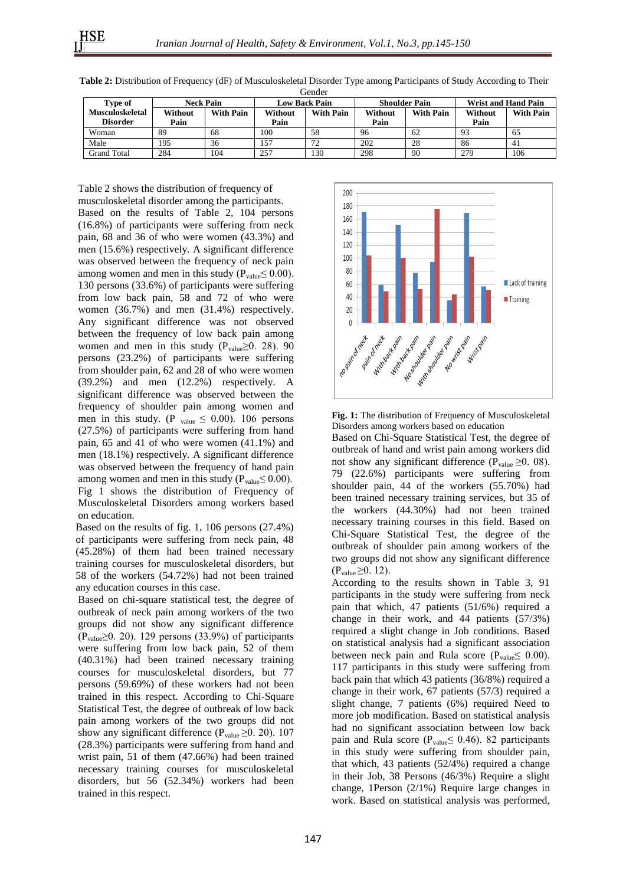| <i><u>nanan souman </u></i> |
|-----------------------------|
|                             |
|                             |
|                             |
|                             |
|                             |

| Type of                | <b>Neck Pain</b> |                  | <b>Low Back Pain</b> |                  | <b>Shoulder Pain</b> |                  | <b>Wrist and Hand Pain</b> |                  |  |
|------------------------|------------------|------------------|----------------------|------------------|----------------------|------------------|----------------------------|------------------|--|
| <b>Musculoskeletal</b> | Without          | <b>With Pain</b> | Without              | <b>With Pain</b> | Without              | <b>With Pain</b> | Without                    | <b>With Pain</b> |  |
| <b>Disorder</b>        | Pain             |                  | Pain                 |                  | Pain                 |                  | Pain                       |                  |  |
| Woman                  | 89               | 68               | 100                  | 58               | 96                   | 62               | 93                         | 65               |  |
| Male                   | 195              | 36               | 157                  | 72<br>∼          | 202                  | 28               | 86                         | 41               |  |
| Grand Total            | 284              | 104              | 257                  | 130              | 298                  | 90               | 279                        | 106              |  |

**Table 2:** Distribution of Frequency (dF) of Musculoskeletal Disorder Type among Participants of Study According to Their Gender

Table 2 shows the distribution of frequency of musculoskeletal disorder among the participants. Based on the results of Table 2, 104 persons (16.8%) of participants were suffering from neck pain, 68 and 36 of who were women (43.3%) and men (15.6%) respectively. A significant difference was observed between the frequency of neck pain among women and men in this study ( $P_{value} \leq 0.00$ ). 130 persons (33.6%) of participants were suffering from low back pain, 58 and 72 of who were women (36.7%) and men (31.4%) respectively. Any significant difference was not observed between the frequency of low back pain among women and men in this study ( $P_{value} \ge 0$ . 28). 90 persons (23.2%) of participants were suffering from shoulder pain, 62 and 28 of who were women (39.2%) and men (12.2%) respectively. A significant difference was observed between the frequency of shoulder pain among women and men in this study. (P  $_{\text{value}} \leq 0.00$ ). 106 persons (27.5%) of participants were suffering from hand pain, 65 and 41 of who were women (41.1%) and men (18.1%) respectively. A significant difference was observed between the frequency of hand pain among women and men in this study ( $P_{value} \leq 0.00$ ). Fig 1 shows the distribution of Frequency of Musculoskeletal Disorders among workers based on education.

Based on the results of fig. 1, 106 persons (27.4%) of participants were suffering from neck pain, 48 (45.28%) of them had been trained necessary training courses for musculoskeletal disorders, but 58 of the workers (54.72%) had not been trained any education courses in this case.

Based on chi-square statistical test, the degree of outbreak of neck pain among workers of the two groups did not show any significant difference (Pvalue≥0. 20). 129 persons (33.9%) of participants were suffering from low back pain, 52 of them (40.31%) had been trained necessary training courses for musculoskeletal disorders, but 77 persons (59.69%) of these workers had not been trained in this respect. According to Chi-Square Statistical Test, the degree of outbreak of low back pain among workers of the two groups did not show any significant difference ( $P_{value} \ge 0$ . 20). 107 (28.3%) participants were suffering from hand and wrist pain, 51 of them (47.66%) had been trained necessary training courses for musculoskeletal disorders, but 56 (52.34%) workers had been trained in this respect.



**Fig. 1:** The distribution of Frequency of Musculoskeletal Disorders among workers based on education

Based on Chi-Square Statistical Test, the degree of outbreak of hand and wrist pain among workers did not show any significant difference ( $P_{value} \ge 0.08$ ). 79 (22.6%) participants were suffering from shoulder pain, 44 of the workers (55.70%) had been trained necessary training services, but 35 of the workers (44.30%) had not been trained necessary training courses in this field. Based on Chi-Square Statistical Test, the degree of the outbreak of shoulder pain among workers of the two groups did not show any significant difference  $(P_{value} \ge 0.12)$ .

According to the results shown in Table 3, 91 participants in the study were suffering from neck pain that which, 47 patients (51/6%) required a change in their work, and 44 patients (57/3%) required a slight change in Job conditions. Based on statistical analysis had a significant association between neck pain and Rula score ( $P_{value} \leq 0.00$ ). 117 participants in this study were suffering from back pain that which 43 patients (36/8%) required a change in their work, 67 patients (57/3) required a slight change, 7 patients (6%) required Need to more job modification. Based on statistical analysis had no significant association between low back pain and Rula score ( $P_{value} \leq 0.46$ ). 82 participants in this study were suffering from shoulder pain, that which, 43 patients (52/4%) required a change in their Job, 38 Persons (46/3%) Require a slight change, 1Person (2/1%) Require large changes in work. Based on statistical analysis was performed,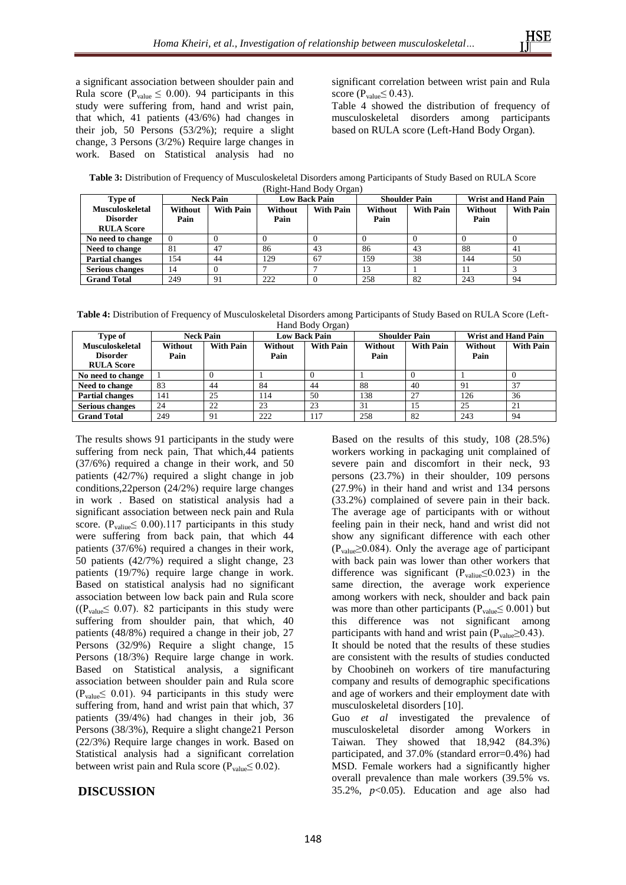a significant association between shoulder pain and Rula score ( $P_{value} \leq 0.00$ ). 94 participants in this study were suffering from, hand and wrist pain, that which, 41 patients (43/6%) had changes in their job, 50 Persons (53/2%); require a slight change, 3 Persons (3/2%) Require large changes in work. Based on Statistical analysis had no

significant correlation between wrist pain and Rula score ( $P_{value} \leq 0.43$ ).

Table 4 showed the distribution of frequency of musculoskeletal disorders among participants based on RULA score (Left-Hand Body Organ).

| Table 3: Distribution of Frequency of Musculoskeletal Disorders among Participants of Study Based on RULA Score |
|-----------------------------------------------------------------------------------------------------------------|
| (Right-Hand Body Organ)                                                                                         |

| Type of                | <b>Neck Pain</b> |                  | <b>Low Back Pain</b> |                  | <b>Shoulder Pain</b> |                  | <b>Wrist and Hand Pain</b> |                  |
|------------------------|------------------|------------------|----------------------|------------------|----------------------|------------------|----------------------------|------------------|
| <b>Musculoskeletal</b> | Without          | <b>With Pain</b> | Without              | <b>With Pain</b> | Without              | <b>With Pain</b> | Without                    | <b>With Pain</b> |
| <b>Disorder</b>        | Pain             |                  | Pain                 |                  | Pain                 |                  | Pain                       |                  |
| <b>RULA Score</b>      |                  |                  |                      |                  |                      |                  |                            |                  |
| No need to change      | $\Omega$         |                  |                      |                  |                      |                  |                            |                  |
| Need to change         | 81               | 47               | 86                   | 43               | 86                   | 43               | 88                         | -41              |
| <b>Partial changes</b> | 154              | 44               | 129                  | 67               | 159                  | 38               | 144                        | 50               |
| <b>Serious changes</b> | 14               |                  |                      |                  | 13                   |                  |                            |                  |
| <b>Grand Total</b>     | 249              | 91               | 222                  |                  | 258                  | 82               | 243                        | 94               |

**Table 4:** Distribution of Frequency of Musculoskeletal Disorders among Participants of Study Based on RULA Score (Left-Hand Body Organ)

| Type of                | <b>Neck Pain</b> |                  | <b>Low Back Pain</b> |                  | <b>Shoulder Pain</b> |                  | <b>Wrist and Hand Pain</b> |                  |
|------------------------|------------------|------------------|----------------------|------------------|----------------------|------------------|----------------------------|------------------|
| <b>Musculoskeletal</b> | Without          | <b>With Pain</b> | Without              | <b>With Pain</b> | Without              | <b>With Pain</b> | Without                    | <b>With Pain</b> |
| <b>Disorder</b>        | Pain             |                  | Pain                 |                  | Pain                 |                  | Pain                       |                  |
| <b>RULA Score</b>      |                  |                  |                      |                  |                      |                  |                            |                  |
| No need to change      |                  |                  |                      |                  |                      |                  |                            |                  |
| Need to change         | 83               | 44               | 84                   | 44               | 88                   | 40               | 91                         | 37               |
| <b>Partial changes</b> | 141              | 25               | 14                   | 50               | 138                  | 27               | 126                        | 36               |
| <b>Serious changes</b> | 24               | 22               | 23                   | 23               | 31                   | 15               | 25                         | 21               |
| <b>Grand Total</b>     | 249              | 91               | 222                  | 117              | 258                  | 82               | 243                        | -94              |

The results shows 91 participants in the study were suffering from neck pain, That which,44 patients (37/6%) required a change in their work, and 50 patients (42/7%) required a slight change in job conditions,22person (24/2%) require large changes in work . Based on statistical analysis had a significant association between neck pain and Rula score. ( $P_{value} \leq 0.00$ ).117 participants in this study were suffering from back pain, that which 44 patients (37/6%) required a changes in their work, 50 patients (42/7%) required a slight change, 23 patients (19/7%) require large change in work. Based on statistical analysis had no significant association between low back pain and Rula score ( $(P_{value} \leq 0.07)$ . 82 participants in this study were suffering from shoulder pain, that which, 40 patients (48/8%) required a change in their job, 27 Persons (32/9%) Require a slight change, 15 Persons (18/3%) Require large change in work. Based on Statistical analysis, a significant association between shoulder pain and Rula score  $(P_{value} \leq 0.01)$ . 94 participants in this study were suffering from, hand and wrist pain that which, 37 patients (39/4%) had changes in their job, 36 Persons (38/3%), Require a slight change21 Person (22/3%) Require large changes in work. Based on Statistical analysis had a significant correlation between wrist pain and Rula score ( $P_{value} \leq 0.02$ ).

**DISCUSSION**

Based on the results of this study, 108 (28.5%) workers working in packaging unit complained of severe pain and discomfort in their neck, 93 persons (23.7%) in their shoulder, 109 persons (27.9%) in their hand and wrist and 134 persons (33.2%) complained of severe pain in their back. The average age of participants with or without feeling pain in their neck, hand and wrist did not show any significant difference with each other  $(P_{value} \ge 0.084)$ . Only the average age of participant with back pain was lower than other workers that difference was significant ( $P_{value} \le 0.023$ ) in the same direction, the average work experience among workers with neck, shoulder and back pain was more than other participants ( $P_{value} \leq 0.001$ ) but this difference was not significant among participants with hand and wrist pain ( $P_{value} \ge 0.43$ ). It should be noted that the results of these studies are consistent with the results of studies conducted

by Choobineh on workers of tire manufacturing company and results of demographic specifications and age of workers and their employment date with musculoskeletal disorders [10].

Guo *et al* investigated the prevalence of musculoskeletal disorder among Workers in Taiwan. They showed that 18,942 (84.3%) participated, and 37.0% (standard error=0.4%) had MSD. Female workers had a significantly higher overall prevalence than male workers (39.5% vs. 35.2%,  $p<0.05$ ). Education and age also had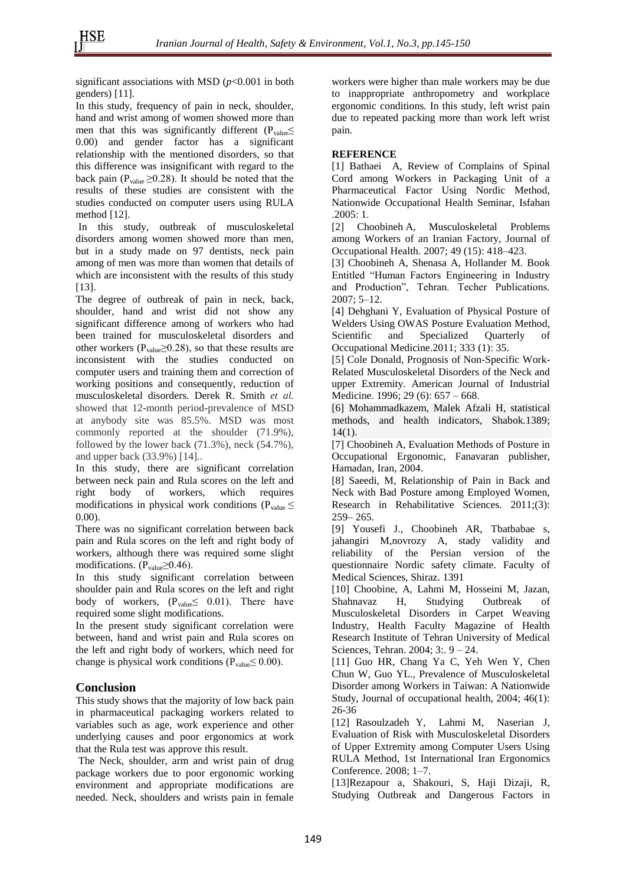significant associations with MSD (*p*<0.001 in both genders) [11].

In this study, frequency of pain in neck, shoulder, hand and wrist among of women showed more than men that this was significantly different ( $P_{value} \le$ 0.00) and gender factor has a significant relationship with the mentioned disorders, so that this difference was insignificant with regard to the back pain ( $P_{value} \ge 0.28$ ). It should be noted that the results of these studies are consistent with the studies conducted on computer users using RULA method [12].

In this study, outbreak of musculoskeletal disorders among women showed more than men, but in a study made on 97 dentists, neck pain among of men was more than women that details of which are inconsistent with the results of this study [13].

The degree of outbreak of pain in neck, back, shoulder, hand and wrist did not show any significant difference among of workers who had been trained for musculoskeletal disorders and other workers ( $P_{value} \ge 0.28$ ), so that these results are inconsistent with the studies conducted on computer users and training them and correction of working positions and consequently, reduction of musculoskeletal disorders. [Derek R. Smith](http://www.sciencedirect.com/science/article/pii/S0022437506000302) *et al.* showed that 12**-**month period**-**prevalence of MSD at anybody site was 85.5%. MSD was most commonly reported at the shoulder (71.9%), followed by the lower back (71.3%), neck (54.7%), and upper back (33.9%) [14]..

In this study, there are significant correlation between neck pain and Rula scores on the left and right body of workers, which requires modifications in physical work conditions ( $P_{value} \le$ 0.00).

There was no significant correlation between back pain and Rula scores on the left and right body of workers, although there was required some slight modifications. ( $P_{value} \ge 0.46$ ).

In this study significant correlation between shoulder pain and Rula scores on the left and right body of workers,  $(P_{value} \leq 0.01)$ . There have required some slight modifications.

In the present study significant correlation were between, hand and wrist pain and Rula scores on the left and right body of workers, which need for change is physical work conditions ( $P_{value} \leq 0.00$ ).

# **Conclusion**

This study shows that the majority of low back pain in pharmaceutical packaging workers related to variables such as age, work experience and other underlying causes and poor ergonomics at work that the Rula test was approve this result.

The Neck, shoulder, arm and wrist pain of drug package workers due to poor ergonomic working environment and appropriate modifications are needed. Neck, shoulders and wrists pain in female

workers were higher than male workers may be due to inappropriate anthropometry and workplace ergonomic conditions. In this study, left wrist pain due to repeated packing more than work left wrist pain.

#### **REFERENCE**

[1] Bathaei A, Review of Complains of Spinal Cord among Workers in Packaging Unit of a Pharmaceutical Factor Using Nordic Method, Nationwide Occupational Health Seminar, Isfahan .2005: 1.

[2] Choobineh A, Musculoskeletal Problems among Workers of an Iranian Factory, Journal of Occupational Health. 2007; 49 (15): 418–423.

[3] Choobineh A, Shenasa A, Hollander M. Book Entitled "Human Factors Engineering in Industry and Production", Tehran. Techer Publications. 2007; 5–12.

[4] Dehghani Y, Evaluation of Physical Posture of Welders Using OWAS Posture Evaluation Method, Scientific and Specialized Quarterly of Occupational Medicine.2011; 333 (1): 35.

[5] Cole Donald, Prognosis of Non-Specific Work-Related Musculoskeletal Disorders of the Neck and upper Extremity. American Journal of Industrial Medicine. 1996; 29 (6): 657 – 668.

[6] Mohammadkazem, Malek Afzali H, statistical methods, and health indicators, Shabok.1389; 14(1).

[7] Choobineh A, Evaluation Methods of Posture in Occupational Ergonomic, Fanavaran publisher, Hamadan, Iran, 2004.

[8] Saeedi, M, Relationship of Pain in Back and Neck with Bad Posture among Employed Women, Research in Rehabilitative Sciences. 2011;(3): 259– 265.

[9] Yousefi J., Choobineh AR, Tbatbabae s, jahangiri M,novrozy A, stady validity and reliability of the Persian version of the questionnaire Nordic safety climate. Faculty of Medical Sciences, Shiraz. 1391

[10] Choobine, A, Lahmi M, Hosseini M, Jazan, Shahnavaz H, Studying Outbreak of Musculoskeletal Disorders in Carpet Weaving Industry, Health Faculty Magazine of Health Research Institute of Tehran University of Medical Sciences, Tehran. 2004; 3:. 9 – 24.

[11] Guo HR, Chang Ya C, Yeh Wen Y, Chen Chun W, Guo YL., Prevalence of Musculoskeletal Disorder among Workers in Taiwan: A Nationwide Study, Journal of occupational health, 2004; 46(1): 26-36

[12] Rasoulzadeh Y, Lahmi M, Naserian J, Evaluation of Risk with Musculoskeletal Disorders of Upper Extremity among Computer Users Using RULA Method, 1st International Iran Ergonomics Conference. 2008; 1–7.

[13]Rezapour a, Shakouri, S, Haji Dizaji, R, Studying Outbreak and Dangerous Factors in